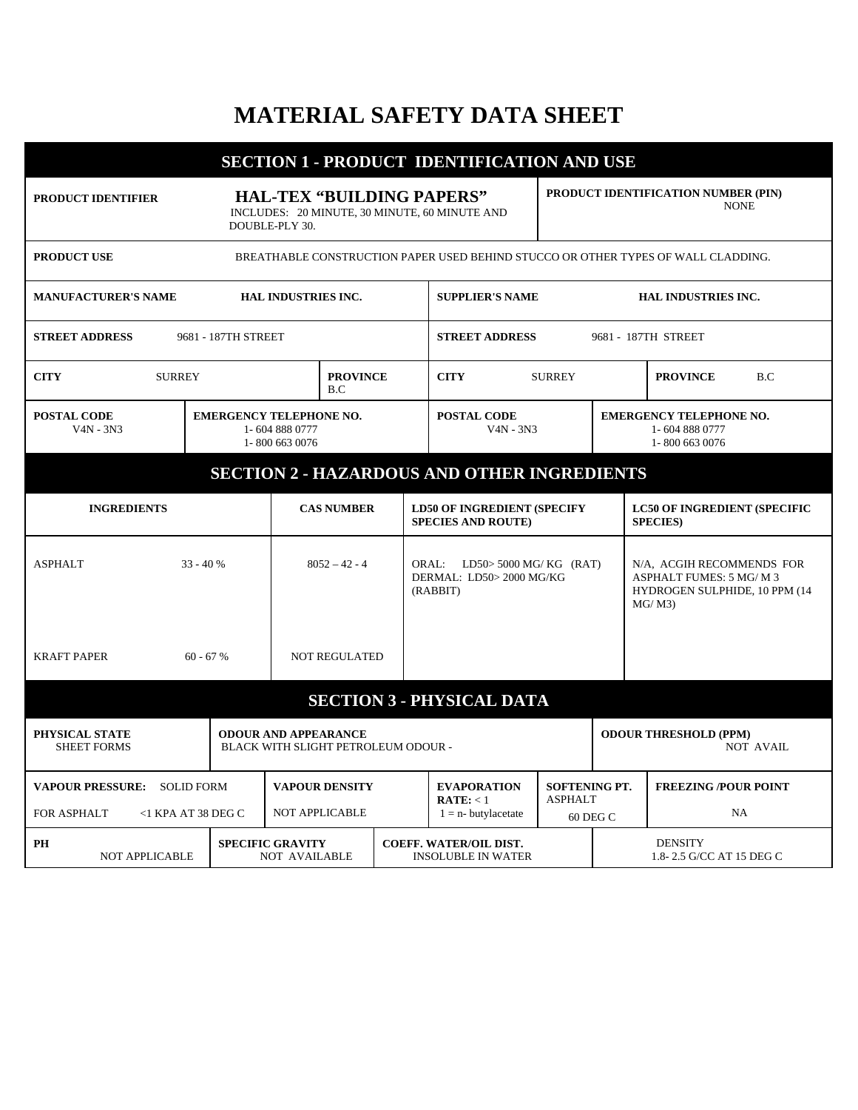## **MATERIAL SAFETY DATA SHEET**

| <b>SECTION 1 - PRODUCT IDENTIFICATION AND USE</b>                                                                                |                                                                    |                                                                                    |  |                                                                       |                                                    |                                                  |                                                                                                  |  |
|----------------------------------------------------------------------------------------------------------------------------------|--------------------------------------------------------------------|------------------------------------------------------------------------------------|--|-----------------------------------------------------------------------|----------------------------------------------------|--------------------------------------------------|--------------------------------------------------------------------------------------------------|--|
| <b>HAL-TEX "BUILDING PAPERS"</b><br><b>PRODUCT IDENTIFIER</b><br>INCLUDES: 20 MINUTE, 30 MINUTE, 60 MINUTE AND<br>DOUBLE-PLY 30. |                                                                    |                                                                                    |  |                                                                       | PRODUCT IDENTIFICATION NUMBER (PIN)<br><b>NONE</b> |                                                  |                                                                                                  |  |
| <b>PRODUCT USE</b><br>BREATHABLE CONSTRUCTION PAPER USED BEHIND STUCCO OR OTHER TYPES OF WALL CLADDING.                          |                                                                    |                                                                                    |  |                                                                       |                                                    |                                                  |                                                                                                  |  |
| <b>MANUFACTURER'S NAME</b>                                                                                                       | <b>HAL INDUSTRIES INC.</b><br><b>SUPPLIER'S NAME</b>               |                                                                                    |  |                                                                       | <b>HAL INDUSTRIES INC.</b>                         |                                                  |                                                                                                  |  |
| <b>STREET ADDRESS</b><br>9681 - 187TH STREET                                                                                     |                                                                    | <b>STREET ADDRESS</b>                                                              |  |                                                                       |                                                    | 9681 - 187TH STREET                              |                                                                                                  |  |
| <b>CITY</b><br><b>SURREY</b>                                                                                                     | <b>PROVINCE</b><br>B.C.                                            |                                                                                    |  | <b>CITY</b><br><b>SURREY</b>                                          |                                                    |                                                  | <b>PROVINCE</b><br>B.C                                                                           |  |
| <b>POSTAL CODE</b><br>$V4N - 3N3$                                                                                                | <b>EMERGENCY TELEPHONE NO.</b><br>1-604 888 0777<br>1-800 663 0076 |                                                                                    |  | <b>POSTAL CODE</b><br>$V4N - 3N3$                                     |                                                    |                                                  | <b>EMERGENCY TELEPHONE NO.</b><br>1-604 888 0777<br>1-800 663 0076                               |  |
| <b>SECTION 2 - HAZARDOUS AND OTHER INGREDIENTS</b>                                                                               |                                                                    |                                                                                    |  |                                                                       |                                                    |                                                  |                                                                                                  |  |
| <b>INGREDIENTS</b>                                                                                                               |                                                                    | <b>CAS NUMBER</b>                                                                  |  | <b>LD50 OF INGREDIENT (SPECIFY</b><br><b>SPECIES AND ROUTE)</b>       |                                                    |                                                  | <b>LC50 OF INGREDIENT (SPECIFIC</b><br><b>SPECIES</b> )                                          |  |
| <b>ASPHALT</b><br>$33 - 40%$                                                                                                     |                                                                    | $8052 - 42 - 4$                                                                    |  | ORAL: LD50> 5000 MG/ KG (RAT)<br>DERMAL: LD50> 2000 MG/KG<br>(RABBIT) |                                                    |                                                  | N/A, ACGIH RECOMMENDS FOR<br>ASPHALT FUMES: 5 MG/ M 3<br>HYDROGEN SULPHIDE, 10 PPM (14<br>MG/M3) |  |
| <b>KRAFT PAPER</b><br>$60 - 67 %$                                                                                                |                                                                    | <b>NOT REGULATED</b>                                                               |  |                                                                       |                                                    |                                                  |                                                                                                  |  |
| <b>SECTION 3 - PHYSICAL DATA</b>                                                                                                 |                                                                    |                                                                                    |  |                                                                       |                                                    |                                                  |                                                                                                  |  |
| PHYSICAL STATE<br><b>SHEET FORMS</b>                                                                                             |                                                                    | <b>ODOUR AND APPEARANCE</b><br>BLACK WITH SLIGHT PETROLEUM ODOUR -                 |  |                                                                       |                                                    | <b>ODOUR THRESHOLD (PPM)</b><br><b>NOT AVAIL</b> |                                                                                                  |  |
| <b>VAPOUR PRESSURE: SOLID FORM</b><br>FOR ASPHALT<br>$<$ 1 KPA AT 38 DEG C                                                       |                                                                    | <b>VAPOUR DENSITY</b><br><b>NOT APPLICABLE</b>                                     |  | <b>EVAPORATION</b><br>$\textbf{RATE:} < 1$<br>$1 = n$ - butylacetate  | <b>SOFTENING PT.</b><br><b>ASPHALT</b><br>60 DEG C |                                                  | <b>FREEZING /POUR POINT</b><br><b>NA</b>                                                         |  |
| PH<br><b>NOT APPLICABLE</b>                                                                                                      | <b>SPECIFIC GRAVITY</b>                                            | <b>COEFF. WATER/OIL DIST.</b><br><b>NOT AVAILABLE</b><br><b>INSOLUBLE IN WATER</b> |  |                                                                       | <b>DENSITY</b><br>1.8-2.5 G/CC AT 15 DEG C         |                                                  |                                                                                                  |  |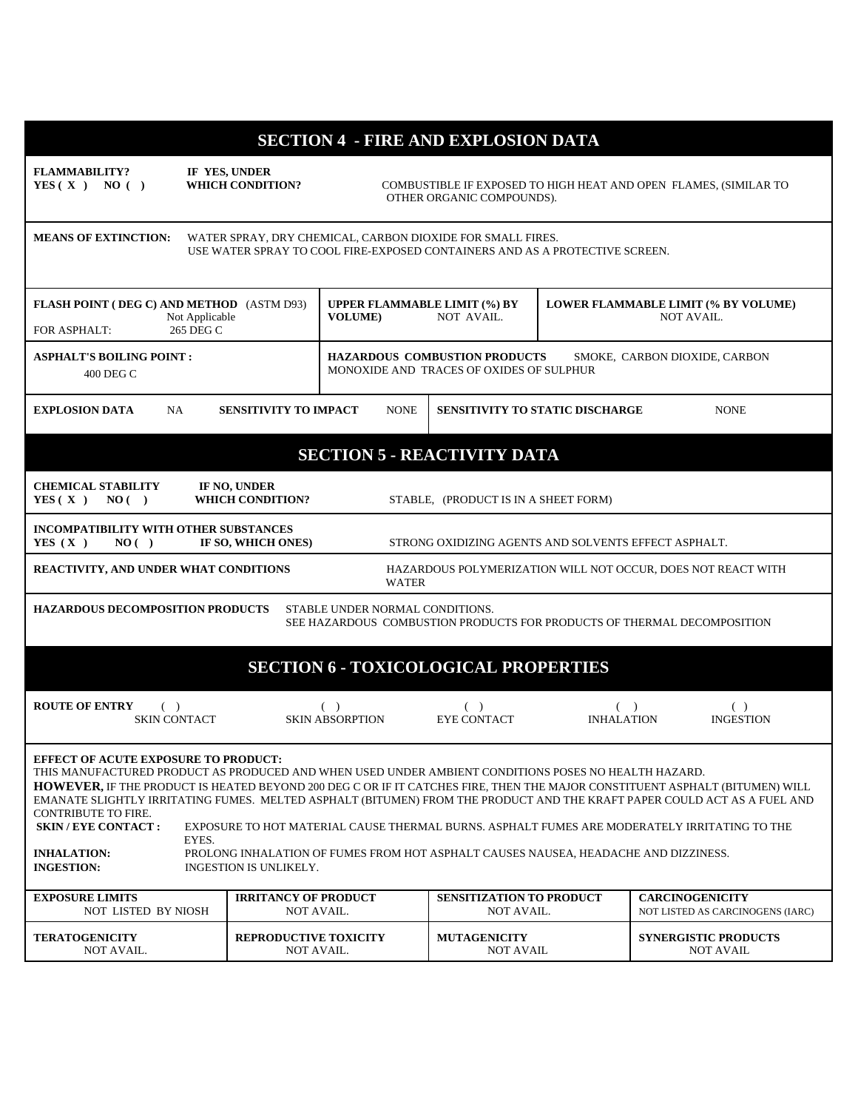| <b>SECTION 4 - FIRE AND EXPLOSION DATA</b>                                                                                                                                                                                                                                                                                                                                                                                                                                                                                                                                                                                                                                                                                                             |                                           |                                                                                               |                                                      |                                     |                             |                                  |
|--------------------------------------------------------------------------------------------------------------------------------------------------------------------------------------------------------------------------------------------------------------------------------------------------------------------------------------------------------------------------------------------------------------------------------------------------------------------------------------------------------------------------------------------------------------------------------------------------------------------------------------------------------------------------------------------------------------------------------------------------------|-------------------------------------------|-----------------------------------------------------------------------------------------------|------------------------------------------------------|-------------------------------------|-----------------------------|----------------------------------|
| <b>FLAMMABILITY?</b><br>YES(X) NO()                                                                                                                                                                                                                                                                                                                                                                                                                                                                                                                                                                                                                                                                                                                    | IF YES, UNDER<br><b>WHICH CONDITION?</b>  | COMBUSTIBLE IF EXPOSED TO HIGH HEAT AND OPEN FLAMES, (SIMILAR TO<br>OTHER ORGANIC COMPOUNDS). |                                                      |                                     |                             |                                  |
| <b>MEANS OF EXTINCTION:</b><br>WATER SPRAY, DRY CHEMICAL, CARBON DIOXIDE FOR SMALL FIRES.<br>USE WATER SPRAY TO COOL FIRE-EXPOSED CONTAINERS AND AS A PROTECTIVE SCREEN.                                                                                                                                                                                                                                                                                                                                                                                                                                                                                                                                                                               |                                           |                                                                                               |                                                      |                                     |                             |                                  |
| FLASH POINT (DEG C) AND METHOD (ASTM D93)<br>Not Applicable<br>265 DEG C<br>FOR ASPHALT:                                                                                                                                                                                                                                                                                                                                                                                                                                                                                                                                                                                                                                                               |                                           | <b>UPPER FLAMMABLE LIMIT (%) BY</b><br><b>VOLUME</b> )                                        | <b>NOT AVAIL.</b>                                    | LOWER FLAMMABLE LIMIT (% BY VOLUME) | NOT AVAIL.                  |                                  |
| <b>ASPHALT'S BOILING POINT :</b><br><b>HAZARDOUS COMBUSTION PRODUCTS</b><br>SMOKE, CARBON DIOXIDE, CARBON<br>MONOXIDE AND TRACES OF OXIDES OF SULPHUR<br>400 DEG C                                                                                                                                                                                                                                                                                                                                                                                                                                                                                                                                                                                     |                                           |                                                                                               |                                                      |                                     |                             |                                  |
| <b>EXPLOSION DATA</b><br>NA.                                                                                                                                                                                                                                                                                                                                                                                                                                                                                                                                                                                                                                                                                                                           | <b>SENSITIVITY TO IMPACT</b>              | <b>NONE</b>                                                                                   | <b>SENSITIVITY TO STATIC DISCHARGE</b>               |                                     |                             | <b>NONE</b>                      |
| <b>SECTION 5 - REACTIVITY DATA</b>                                                                                                                                                                                                                                                                                                                                                                                                                                                                                                                                                                                                                                                                                                                     |                                           |                                                                                               |                                                      |                                     |                             |                                  |
| <b>CHEMICAL STABILITY</b><br>IF NO, UNDER<br><b>WHICH CONDITION?</b><br>YES(X)<br>NO( )<br>STABLE, (PRODUCT IS IN A SHEET FORM)                                                                                                                                                                                                                                                                                                                                                                                                                                                                                                                                                                                                                        |                                           |                                                                                               |                                                      |                                     |                             |                                  |
| INCOMPATIBILITY WITH OTHER SUBSTANCES<br>YES $(X)$<br>IF SO, WHICH ONES)<br>STRONG OXIDIZING AGENTS AND SOLVENTS EFFECT ASPHALT.<br>NO( )                                                                                                                                                                                                                                                                                                                                                                                                                                                                                                                                                                                                              |                                           |                                                                                               |                                                      |                                     |                             |                                  |
| REACTIVITY, AND UNDER WHAT CONDITIONS<br>HAZARDOUS POLYMERIZATION WILL NOT OCCUR, DOES NOT REACT WITH<br><b>WATER</b>                                                                                                                                                                                                                                                                                                                                                                                                                                                                                                                                                                                                                                  |                                           |                                                                                               |                                                      |                                     |                             |                                  |
| <b>HAZARDOUS DECOMPOSITION PRODUCTS</b><br>STABLE UNDER NORMAL CONDITIONS.<br>SEE HAZARDOUS COMBUSTION PRODUCTS FOR PRODUCTS OF THERMAL DECOMPOSITION                                                                                                                                                                                                                                                                                                                                                                                                                                                                                                                                                                                                  |                                           |                                                                                               |                                                      |                                     |                             |                                  |
| <b>SECTION 6 - TOXICOLOGICAL PROPERTIES</b>                                                                                                                                                                                                                                                                                                                                                                                                                                                                                                                                                                                                                                                                                                            |                                           |                                                                                               |                                                      |                                     |                             |                                  |
| <b>ROUTE OF ENTRY</b><br>$($ )<br><b>SKIN CONTACT</b>                                                                                                                                                                                                                                                                                                                                                                                                                                                                                                                                                                                                                                                                                                  |                                           | $($ )<br><b>SKIN ABSORPTION</b>                                                               | ( )<br><b>EYE CONTACT</b>                            | (<br><b>INHALATION</b>              |                             | ( )<br><b>INGESTION</b>          |
| <b>EFFECT OF ACUTE EXPOSURE TO PRODUCT:</b><br>THIS MANUFACTURED PRODUCT AS PRODUCED AND WHEN USED UNDER AMBIENT CONDITIONS POSES NO HEALTH HAZARD.<br><b>HOWEVER.</b> IF THE PRODUCT IS HEATED BEYOND 200 DEG C OR IF IT CATCHES FIRE. THEN THE MAJOR CONSTITUENT ASPHALT (BITUMEN) WILL<br>EMANATE SLIGHTLY IRRITATING FUMES. MELTED ASPHALT (BITUMEN) FROM THE PRODUCT AND THE KRAFT PAPER COULD ACT AS A FUEL AND<br><b>CONTRIBUTE TO FIRE.</b><br><b>SKIN / EYE CONTACT:</b><br>EXPOSURE TO HOT MATERIAL CAUSE THERMAL BURNS. ASPHALT FUMES ARE MODERATELY IRRITATING TO THE<br>EYES.<br><b>INHALATION:</b><br>PROLONG INHALATION OF FUMES FROM HOT ASPHALT CAUSES NAUSEA, HEADACHE AND DIZZINESS.<br><b>INGESTION:</b><br>INGESTION IS UNLIKELY. |                                           |                                                                                               |                                                      |                                     |                             |                                  |
| <b>EXPOSURE LIMITS</b><br>NOT LISTED BY NIOSH                                                                                                                                                                                                                                                                                                                                                                                                                                                                                                                                                                                                                                                                                                          | <b>IRRITANCY OF PRODUCT</b><br>NOT AVAIL. |                                                                                               | <b>SENSITIZATION TO PRODUCT</b><br><b>NOT AVAIL.</b> |                                     | <b>CARCINOGENICITY</b>      | NOT LISTED AS CARCINOGENS (IARC) |
| <b>TERATOGENICITY</b><br><b>REPRODUCTIVE TOXICITY</b><br>NOT AVAIL.<br>NOT AVAIL.                                                                                                                                                                                                                                                                                                                                                                                                                                                                                                                                                                                                                                                                      |                                           |                                                                                               | <b>MUTAGENICITY</b><br><b>NOT AVAIL</b>              |                                     | <b>SYNERGISTIC PRODUCTS</b> | <b>NOT AVAIL</b>                 |